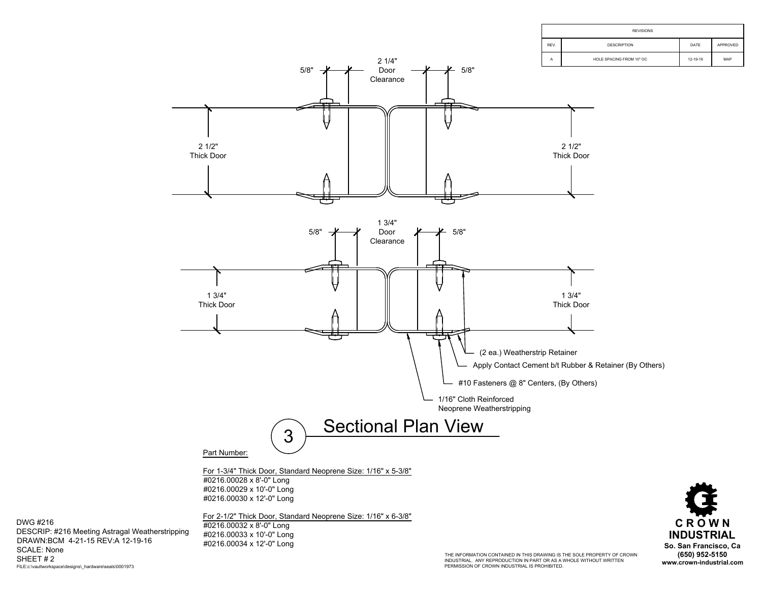